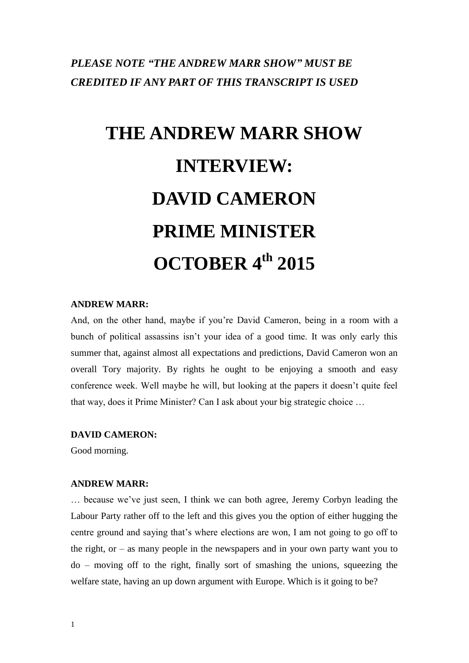## *PLEASE NOTE "THE ANDREW MARR SHOW" MUST BE CREDITED IF ANY PART OF THIS TRANSCRIPT IS USED*

# **THE ANDREW MARR SHOW INTERVIEW: DAVID CAMERON PRIME MINISTER OCTOBER 4 th 2015**

## **ANDREW MARR:**

And, on the other hand, maybe if you're David Cameron, being in a room with a bunch of political assassins isn't your idea of a good time. It was only early this summer that, against almost all expectations and predictions, David Cameron won an overall Tory majority. By rights he ought to be enjoying a smooth and easy conference week. Well maybe he will, but looking at the papers it doesn't quite feel that way, does it Prime Minister? Can I ask about your big strategic choice …

#### **DAVID CAMERON:**

Good morning.

#### **ANDREW MARR:**

… because we've just seen, I think we can both agree, Jeremy Corbyn leading the Labour Party rather off to the left and this gives you the option of either hugging the centre ground and saying that's where elections are won, I am not going to go off to the right, or  $-$  as many people in the newspapers and in your own party want you to do – moving off to the right, finally sort of smashing the unions, squeezing the welfare state, having an up down argument with Europe. Which is it going to be?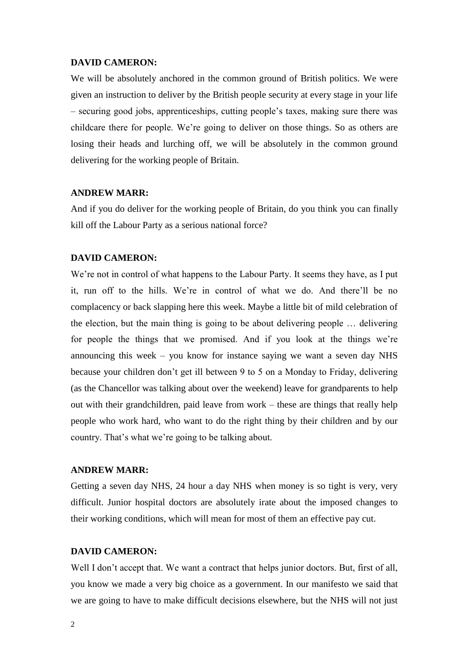We will be absolutely anchored in the common ground of British politics. We were given an instruction to deliver by the British people security at every stage in your life – securing good jobs, apprenticeships, cutting people's taxes, making sure there was childcare there for people. We're going to deliver on those things. So as others are losing their heads and lurching off, we will be absolutely in the common ground delivering for the working people of Britain.

#### **ANDREW MARR:**

And if you do deliver for the working people of Britain, do you think you can finally kill off the Labour Party as a serious national force?

#### **DAVID CAMERON:**

We're not in control of what happens to the Labour Party. It seems they have, as I put it, run off to the hills. We're in control of what we do. And there'll be no complacency or back slapping here this week. Maybe a little bit of mild celebration of the election, but the main thing is going to be about delivering people … delivering for people the things that we promised. And if you look at the things we're announcing this week – you know for instance saying we want a seven day NHS because your children don't get ill between 9 to 5 on a Monday to Friday, delivering (as the Chancellor was talking about over the weekend) leave for grandparents to help out with their grandchildren, paid leave from work – these are things that really help people who work hard, who want to do the right thing by their children and by our country. That's what we're going to be talking about.

#### **ANDREW MARR:**

Getting a seven day NHS, 24 hour a day NHS when money is so tight is very, very difficult. Junior hospital doctors are absolutely irate about the imposed changes to their working conditions, which will mean for most of them an effective pay cut.

## **DAVID CAMERON:**

Well I don't accept that. We want a contract that helps junior doctors. But, first of all, you know we made a very big choice as a government. In our manifesto we said that we are going to have to make difficult decisions elsewhere, but the NHS will not just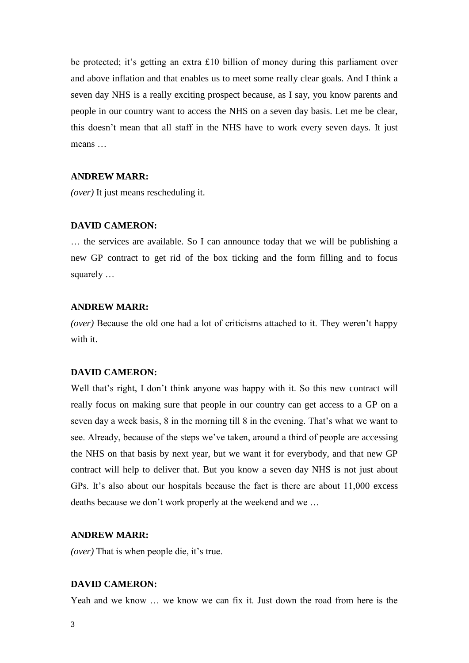be protected; it's getting an extra £10 billion of money during this parliament over and above inflation and that enables us to meet some really clear goals. And I think a seven day NHS is a really exciting prospect because, as I say, you know parents and people in our country want to access the NHS on a seven day basis. Let me be clear, this doesn't mean that all staff in the NHS have to work every seven days. It just means

#### **ANDREW MARR:**

*(over)* It just means rescheduling it.

#### **DAVID CAMERON:**

… the services are available. So I can announce today that we will be publishing a new GP contract to get rid of the box ticking and the form filling and to focus squarely …

## **ANDREW MARR:**

*(over)* Because the old one had a lot of criticisms attached to it. They weren't happy with it.

#### **DAVID CAMERON:**

Well that's right, I don't think anyone was happy with it. So this new contract will really focus on making sure that people in our country can get access to a GP on a seven day a week basis, 8 in the morning till 8 in the evening. That's what we want to see. Already, because of the steps we've taken, around a third of people are accessing the NHS on that basis by next year, but we want it for everybody, and that new GP contract will help to deliver that. But you know a seven day NHS is not just about GPs. It's also about our hospitals because the fact is there are about 11,000 excess deaths because we don't work properly at the weekend and we …

#### **ANDREW MARR:**

*(over)* That is when people die, it's true.

#### **DAVID CAMERON:**

Yeah and we know … we know we can fix it. Just down the road from here is the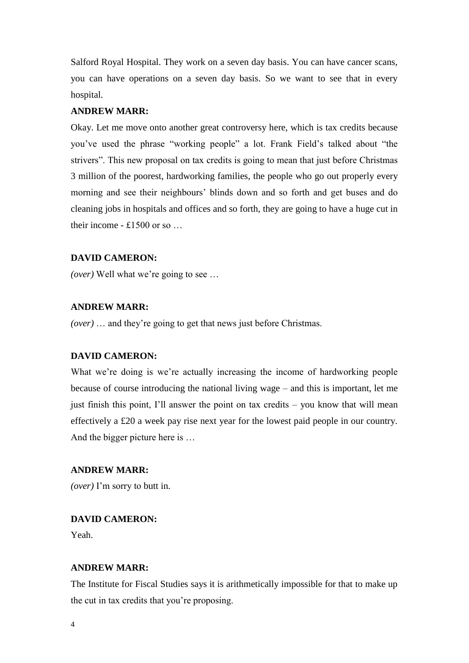Salford Royal Hospital. They work on a seven day basis. You can have cancer scans, you can have operations on a seven day basis. So we want to see that in every hospital.

## **ANDREW MARR:**

Okay. Let me move onto another great controversy here, which is tax credits because you've used the phrase "working people" a lot. Frank Field's talked about "the strivers". This new proposal on tax credits is going to mean that just before Christmas 3 million of the poorest, hardworking families, the people who go out properly every morning and see their neighbours' blinds down and so forth and get buses and do cleaning jobs in hospitals and offices and so forth, they are going to have a huge cut in their income - £1500 or so …

## **DAVID CAMERON:**

*(over)* Well what we're going to see …

## **ANDREW MARR:**

*(over)* … and they're going to get that news just before Christmas.

#### **DAVID CAMERON:**

What we're doing is we're actually increasing the income of hardworking people because of course introducing the national living wage – and this is important, let me just finish this point, I'll answer the point on tax credits – you know that will mean effectively a £20 a week pay rise next year for the lowest paid people in our country. And the bigger picture here is …

## **ANDREW MARR:**

*(over)* I'm sorry to butt in.

### **DAVID CAMERON:**

Yeah.

## **ANDREW MARR:**

The Institute for Fiscal Studies says it is arithmetically impossible for that to make up the cut in tax credits that you're proposing.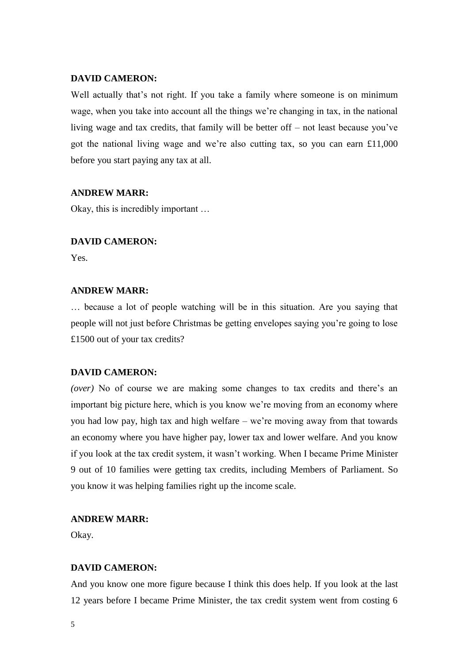Well actually that's not right. If you take a family where someone is on minimum wage, when you take into account all the things we're changing in tax, in the national living wage and tax credits, that family will be better off – not least because you've got the national living wage and we're also cutting tax, so you can earn £11,000 before you start paying any tax at all.

#### **ANDREW MARR:**

Okay, this is incredibly important …

## **DAVID CAMERON:**

Yes.

## **ANDREW MARR:**

… because a lot of people watching will be in this situation. Are you saying that people will not just before Christmas be getting envelopes saying you're going to lose £1500 out of your tax credits?

#### **DAVID CAMERON:**

*(over)* No of course we are making some changes to tax credits and there's an important big picture here, which is you know we're moving from an economy where you had low pay, high tax and high welfare – we're moving away from that towards an economy where you have higher pay, lower tax and lower welfare. And you know if you look at the tax credit system, it wasn't working. When I became Prime Minister 9 out of 10 families were getting tax credits, including Members of Parliament. So you know it was helping families right up the income scale.

## **ANDREW MARR:**

Okay.

## **DAVID CAMERON:**

And you know one more figure because I think this does help. If you look at the last 12 years before I became Prime Minister, the tax credit system went from costing 6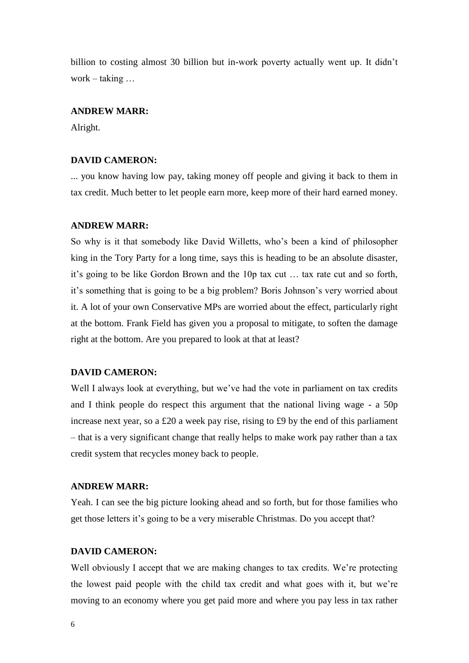billion to costing almost 30 billion but in-work poverty actually went up. It didn't work – taking …

## **ANDREW MARR:**

Alright.

## **DAVID CAMERON:**

... you know having low pay, taking money off people and giving it back to them in tax credit. Much better to let people earn more, keep more of their hard earned money.

#### **ANDREW MARR:**

So why is it that somebody like David Willetts, who's been a kind of philosopher king in the Tory Party for a long time, says this is heading to be an absolute disaster, it's going to be like Gordon Brown and the 10p tax cut … tax rate cut and so forth, it's something that is going to be a big problem? Boris Johnson's very worried about it. A lot of your own Conservative MPs are worried about the effect, particularly right at the bottom. Frank Field has given you a proposal to mitigate, to soften the damage right at the bottom. Are you prepared to look at that at least?

#### **DAVID CAMERON:**

Well I always look at everything, but we've had the vote in parliament on tax credits and I think people do respect this argument that the national living wage - a 50p increase next year, so a £20 a week pay rise, rising to £9 by the end of this parliament – that is a very significant change that really helps to make work pay rather than a tax credit system that recycles money back to people.

#### **ANDREW MARR:**

Yeah. I can see the big picture looking ahead and so forth, but for those families who get those letters it's going to be a very miserable Christmas. Do you accept that?

## **DAVID CAMERON:**

Well obviously I accept that we are making changes to tax credits. We're protecting the lowest paid people with the child tax credit and what goes with it, but we're moving to an economy where you get paid more and where you pay less in tax rather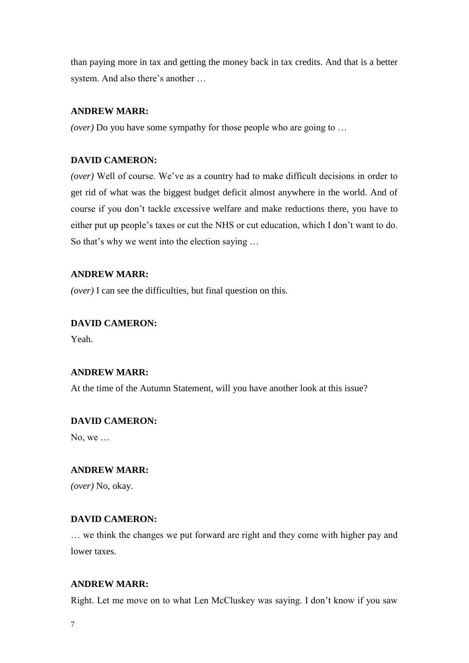than paying more in tax and getting the money back in tax credits. And that is a better system. And also there's another …

## **ANDREW MARR:**

*(over)* Do you have some sympathy for those people who are going to …

## **DAVID CAMERON:**

*(over)* Well of course. We've as a country had to make difficult decisions in order to get rid of what was the biggest budget deficit almost anywhere in the world. And of course if you don't tackle excessive welfare and make reductions there, you have to either put up people's taxes or cut the NHS or cut education, which I don't want to do. So that's why we went into the election saying …

#### **ANDREW MARR:**

*(over)* I can see the difficulties, but final question on this.

## **DAVID CAMERON:**

Yeah.

## **ANDREW MARR:**

At the time of the Autumn Statement, will you have another look at this issue?

#### **DAVID CAMERON:**

No, we …

## **ANDREW MARR:**

*(over)* No, okay.

### **DAVID CAMERON:**

… we think the changes we put forward are right and they come with higher pay and lower taxes.

#### **ANDREW MARR:**

Right. Let me move on to what Len McCluskey was saying. I don't know if you saw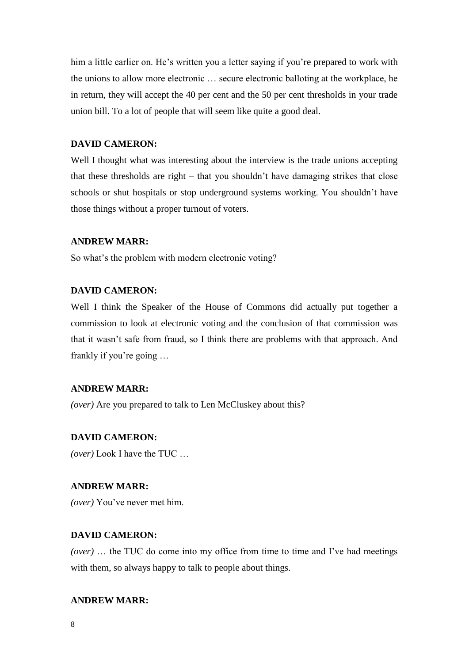him a little earlier on. He's written you a letter saying if you're prepared to work with the unions to allow more electronic … secure electronic balloting at the workplace, he in return, they will accept the 40 per cent and the 50 per cent thresholds in your trade union bill. To a lot of people that will seem like quite a good deal.

## **DAVID CAMERON:**

Well I thought what was interesting about the interview is the trade unions accepting that these thresholds are right – that you shouldn't have damaging strikes that close schools or shut hospitals or stop underground systems working. You shouldn't have those things without a proper turnout of voters.

## **ANDREW MARR:**

So what's the problem with modern electronic voting?

## **DAVID CAMERON:**

Well I think the Speaker of the House of Commons did actually put together a commission to look at electronic voting and the conclusion of that commission was that it wasn't safe from fraud, so I think there are problems with that approach. And frankly if you're going …

#### **ANDREW MARR:**

*(over)* Are you prepared to talk to Len McCluskey about this?

#### **DAVID CAMERON:**

*(over)* Look I have the TUC …

#### **ANDREW MARR:**

*(over)* You've never met him.

#### **DAVID CAMERON:**

*(over)* … the TUC do come into my office from time to time and I've had meetings with them, so always happy to talk to people about things.

## **ANDREW MARR:**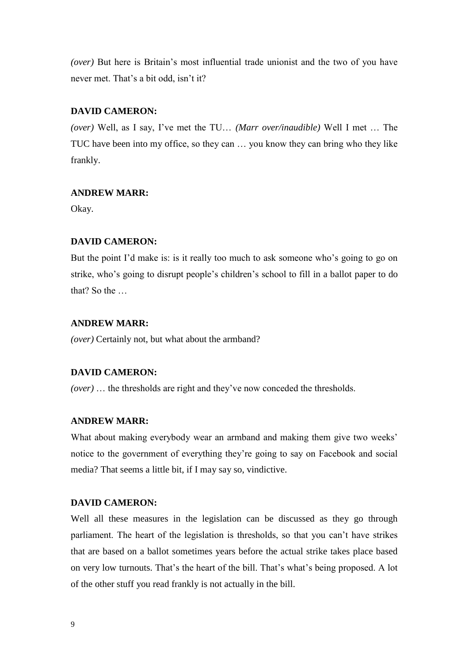*(over)* But here is Britain's most influential trade unionist and the two of you have never met. That's a bit odd, isn't it?

## **DAVID CAMERON:**

*(over)* Well, as I say, I've met the TU… *(Marr over/inaudible)* Well I met … The TUC have been into my office, so they can … you know they can bring who they like frankly.

#### **ANDREW MARR:**

Okay.

## **DAVID CAMERON:**

But the point I'd make is: is it really too much to ask someone who's going to go on strike, who's going to disrupt people's children's school to fill in a ballot paper to do that? So the …

## **ANDREW MARR:**

*(over)* Certainly not, but what about the armband?

## **DAVID CAMERON:**

*(over)* … the thresholds are right and they've now conceded the thresholds.

## **ANDREW MARR:**

What about making everybody wear an armband and making them give two weeks' notice to the government of everything they're going to say on Facebook and social media? That seems a little bit, if I may say so, vindictive.

#### **DAVID CAMERON:**

Well all these measures in the legislation can be discussed as they go through parliament. The heart of the legislation is thresholds, so that you can't have strikes that are based on a ballot sometimes years before the actual strike takes place based on very low turnouts. That's the heart of the bill. That's what's being proposed. A lot of the other stuff you read frankly is not actually in the bill.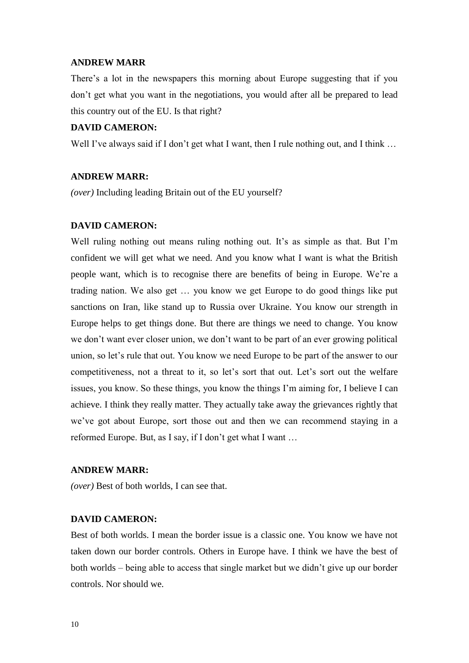#### **ANDREW MARR**

There's a lot in the newspapers this morning about Europe suggesting that if you don't get what you want in the negotiations, you would after all be prepared to lead this country out of the EU. Is that right?

## **DAVID CAMERON:**

Well I've always said if I don't get what I want, then I rule nothing out, and I think ...

#### **ANDREW MARR:**

*(over)* Including leading Britain out of the EU yourself?

## **DAVID CAMERON:**

Well ruling nothing out means ruling nothing out. It's as simple as that. But I'm confident we will get what we need. And you know what I want is what the British people want, which is to recognise there are benefits of being in Europe. We're a trading nation. We also get … you know we get Europe to do good things like put sanctions on Iran, like stand up to Russia over Ukraine. You know our strength in Europe helps to get things done. But there are things we need to change. You know we don't want ever closer union, we don't want to be part of an ever growing political union, so let's rule that out. You know we need Europe to be part of the answer to our competitiveness, not a threat to it, so let's sort that out. Let's sort out the welfare issues, you know. So these things, you know the things I'm aiming for, I believe I can achieve. I think they really matter. They actually take away the grievances rightly that we've got about Europe, sort those out and then we can recommend staying in a reformed Europe. But, as I say, if I don't get what I want …

## **ANDREW MARR:**

*(over)* Best of both worlds, I can see that.

#### **DAVID CAMERON:**

Best of both worlds. I mean the border issue is a classic one. You know we have not taken down our border controls. Others in Europe have. I think we have the best of both worlds – being able to access that single market but we didn't give up our border controls. Nor should we.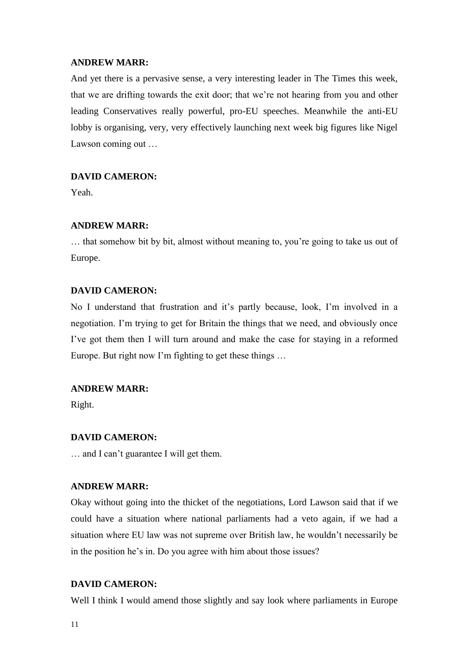## **ANDREW MARR:**

And yet there is a pervasive sense, a very interesting leader in The Times this week, that we are drifting towards the exit door; that we're not hearing from you and other leading Conservatives really powerful, pro-EU speeches. Meanwhile the anti-EU lobby is organising, very, very effectively launching next week big figures like Nigel Lawson coming out …

## **DAVID CAMERON:**

Yeah.

## **ANDREW MARR:**

… that somehow bit by bit, almost without meaning to, you're going to take us out of Europe.

## **DAVID CAMERON:**

No I understand that frustration and it's partly because, look, I'm involved in a negotiation. I'm trying to get for Britain the things that we need, and obviously once I've got them then I will turn around and make the case for staying in a reformed Europe. But right now I'm fighting to get these things …

## **ANDREW MARR:**

Right.

## **DAVID CAMERON:**

… and I can't guarantee I will get them.

## **ANDREW MARR:**

Okay without going into the thicket of the negotiations, Lord Lawson said that if we could have a situation where national parliaments had a veto again, if we had a situation where EU law was not supreme over British law, he wouldn't necessarily be in the position he's in. Do you agree with him about those issues?

## **DAVID CAMERON:**

Well I think I would amend those slightly and say look where parliaments in Europe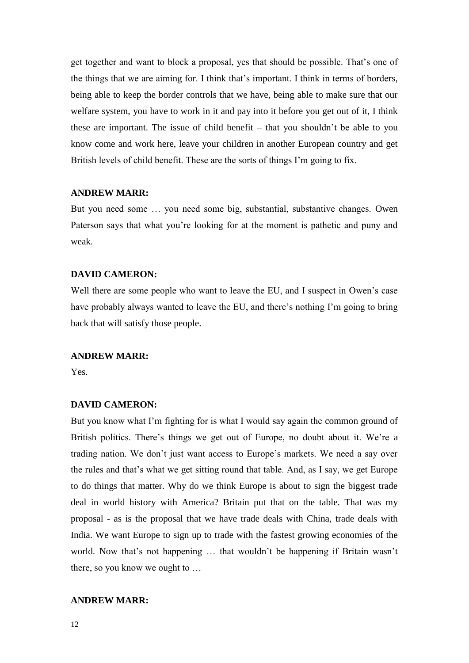get together and want to block a proposal, yes that should be possible. That's one of the things that we are aiming for. I think that's important. I think in terms of borders, being able to keep the border controls that we have, being able to make sure that our welfare system, you have to work in it and pay into it before you get out of it, I think these are important. The issue of child benefit – that you shouldn't be able to you know come and work here, leave your children in another European country and get British levels of child benefit. These are the sorts of things I'm going to fix.

#### **ANDREW MARR:**

But you need some … you need some big, substantial, substantive changes. Owen Paterson says that what you're looking for at the moment is pathetic and puny and weak.

#### **DAVID CAMERON:**

Well there are some people who want to leave the EU, and I suspect in Owen's case have probably always wanted to leave the EU, and there's nothing I'm going to bring back that will satisfy those people.

#### **ANDREW MARR:**

Yes.

#### **DAVID CAMERON:**

But you know what I'm fighting for is what I would say again the common ground of British politics. There's things we get out of Europe, no doubt about it. We're a trading nation. We don't just want access to Europe's markets. We need a say over the rules and that's what we get sitting round that table. And, as I say, we get Europe to do things that matter. Why do we think Europe is about to sign the biggest trade deal in world history with America? Britain put that on the table. That was my proposal - as is the proposal that we have trade deals with China, trade deals with India. We want Europe to sign up to trade with the fastest growing economies of the world. Now that's not happening … that wouldn't be happening if Britain wasn't there, so you know we ought to …

## **ANDREW MARR:**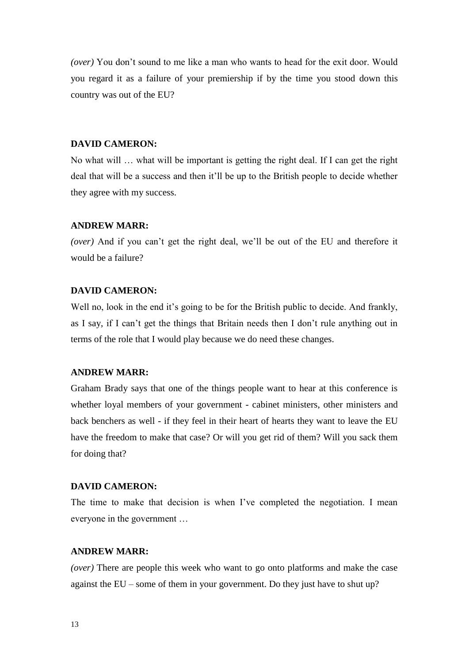*(over)* You don't sound to me like a man who wants to head for the exit door. Would you regard it as a failure of your premiership if by the time you stood down this country was out of the EU?

## **DAVID CAMERON:**

No what will … what will be important is getting the right deal. If I can get the right deal that will be a success and then it'll be up to the British people to decide whether they agree with my success.

#### **ANDREW MARR:**

*(over)* And if you can't get the right deal, we'll be out of the EU and therefore it would be a failure?

## **DAVID CAMERON:**

Well no, look in the end it's going to be for the British public to decide. And frankly, as I say, if I can't get the things that Britain needs then I don't rule anything out in terms of the role that I would play because we do need these changes.

#### **ANDREW MARR:**

Graham Brady says that one of the things people want to hear at this conference is whether loyal members of your government - cabinet ministers, other ministers and back benchers as well - if they feel in their heart of hearts they want to leave the EU have the freedom to make that case? Or will you get rid of them? Will you sack them for doing that?

## **DAVID CAMERON:**

The time to make that decision is when I've completed the negotiation. I mean everyone in the government …

## **ANDREW MARR:**

*(over)* There are people this week who want to go onto platforms and make the case against the EU – some of them in your government. Do they just have to shut up?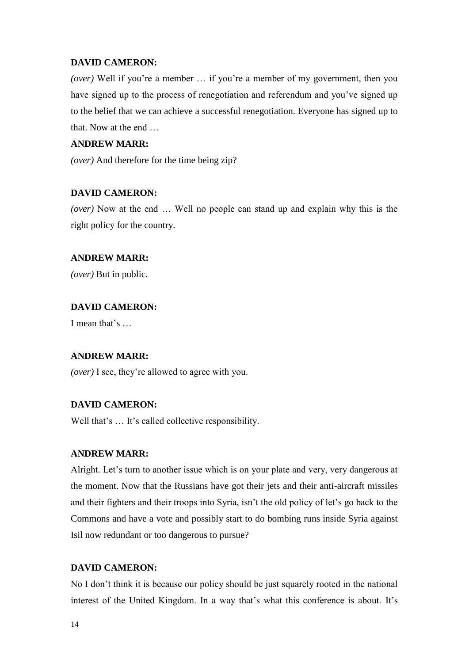*(over)* Well if you're a member … if you're a member of my government, then you have signed up to the process of renegotiation and referendum and you've signed up to the belief that we can achieve a successful renegotiation. Everyone has signed up to that. Now at the end …

## **ANDREW MARR:**

*(over)* And therefore for the time being zip?

## **DAVID CAMERON:**

*(over)* Now at the end … Well no people can stand up and explain why this is the right policy for the country.

## **ANDREW MARR:**

*(over)* But in public.

## **DAVID CAMERON:**

I mean that's …

## **ANDREW MARR:**

*(over)* I see, they're allowed to agree with you.

## **DAVID CAMERON:**

Well that's ... It's called collective responsibility.

## **ANDREW MARR:**

Alright. Let's turn to another issue which is on your plate and very, very dangerous at the moment. Now that the Russians have got their jets and their anti-aircraft missiles and their fighters and their troops into Syria, isn't the old policy of let's go back to the Commons and have a vote and possibly start to do bombing runs inside Syria against Isil now redundant or too dangerous to pursue?

## **DAVID CAMERON:**

No I don't think it is because our policy should be just squarely rooted in the national interest of the United Kingdom. In a way that's what this conference is about. It's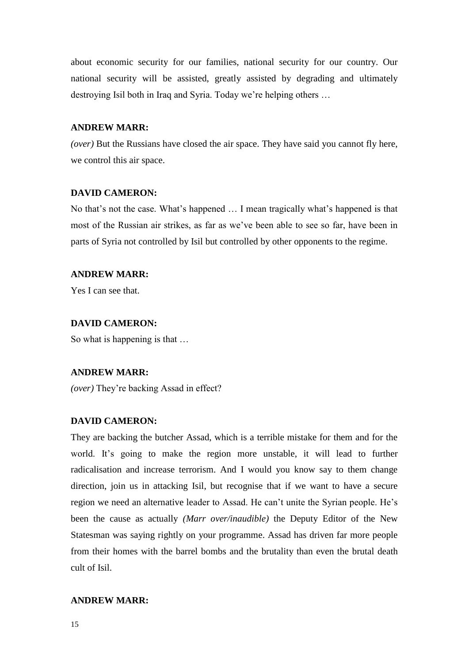about economic security for our families, national security for our country. Our national security will be assisted, greatly assisted by degrading and ultimately destroying Isil both in Iraq and Syria. Today we're helping others …

## **ANDREW MARR:**

*(over)* But the Russians have closed the air space. They have said you cannot fly here, we control this air space.

#### **DAVID CAMERON:**

No that's not the case. What's happened … I mean tragically what's happened is that most of the Russian air strikes, as far as we've been able to see so far, have been in parts of Syria not controlled by Isil but controlled by other opponents to the regime.

#### **ANDREW MARR:**

Yes I can see that.

## **DAVID CAMERON:**

So what is happening is that …

#### **ANDREW MARR:**

*(over)* They're backing Assad in effect?

## **DAVID CAMERON:**

They are backing the butcher Assad, which is a terrible mistake for them and for the world. It's going to make the region more unstable, it will lead to further radicalisation and increase terrorism. And I would you know say to them change direction, join us in attacking Isil, but recognise that if we want to have a secure region we need an alternative leader to Assad. He can't unite the Syrian people. He's been the cause as actually *(Marr over/inaudible)* the Deputy Editor of the New Statesman was saying rightly on your programme. Assad has driven far more people from their homes with the barrel bombs and the brutality than even the brutal death cult of Isil.

## **ANDREW MARR:**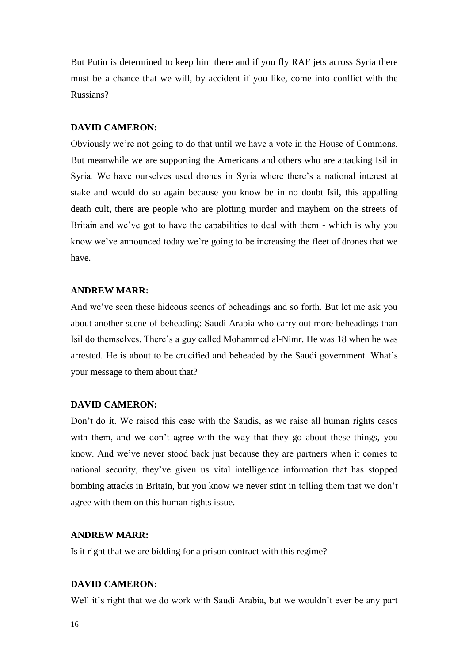But Putin is determined to keep him there and if you fly RAF jets across Syria there must be a chance that we will, by accident if you like, come into conflict with the Russians?

## **DAVID CAMERON:**

Obviously we're not going to do that until we have a vote in the House of Commons. But meanwhile we are supporting the Americans and others who are attacking Isil in Syria. We have ourselves used drones in Syria where there's a national interest at stake and would do so again because you know be in no doubt Isil, this appalling death cult, there are people who are plotting murder and mayhem on the streets of Britain and we've got to have the capabilities to deal with them - which is why you know we've announced today we're going to be increasing the fleet of drones that we have.

## **ANDREW MARR:**

And we've seen these hideous scenes of beheadings and so forth. But let me ask you about another scene of beheading: Saudi Arabia who carry out more beheadings than Isil do themselves. There's a guy called Mohammed al-Nimr. He was 18 when he was arrested. He is about to be crucified and beheaded by the Saudi government. What's your message to them about that?

#### **DAVID CAMERON:**

Don't do it. We raised this case with the Saudis, as we raise all human rights cases with them, and we don't agree with the way that they go about these things, you know. And we've never stood back just because they are partners when it comes to national security, they've given us vital intelligence information that has stopped bombing attacks in Britain, but you know we never stint in telling them that we don't agree with them on this human rights issue.

#### **ANDREW MARR:**

Is it right that we are bidding for a prison contract with this regime?

#### **DAVID CAMERON:**

Well it's right that we do work with Saudi Arabia, but we wouldn't ever be any part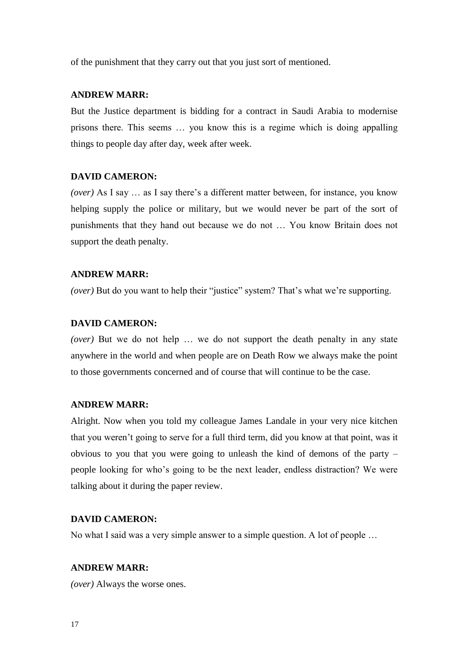of the punishment that they carry out that you just sort of mentioned.

#### **ANDREW MARR:**

But the Justice department is bidding for a contract in Saudi Arabia to modernise prisons there. This seems … you know this is a regime which is doing appalling things to people day after day, week after week.

#### **DAVID CAMERON:**

*(over)* As I say … as I say there's a different matter between, for instance, you know helping supply the police or military, but we would never be part of the sort of punishments that they hand out because we do not … You know Britain does not support the death penalty.

#### **ANDREW MARR:**

*(over)* But do you want to help their "justice" system? That's what we're supporting.

## **DAVID CAMERON:**

*(over)* But we do not help ... we do not support the death penalty in any state anywhere in the world and when people are on Death Row we always make the point to those governments concerned and of course that will continue to be the case.

#### **ANDREW MARR:**

Alright. Now when you told my colleague James Landale in your very nice kitchen that you weren't going to serve for a full third term, did you know at that point, was it obvious to you that you were going to unleash the kind of demons of the party – people looking for who's going to be the next leader, endless distraction? We were talking about it during the paper review.

#### **DAVID CAMERON:**

No what I said was a very simple answer to a simple question. A lot of people …

#### **ANDREW MARR:**

*(over)* Always the worse ones.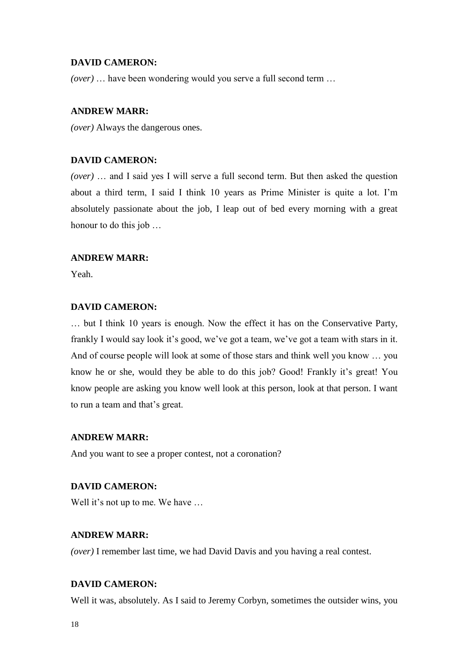*(over)* … have been wondering would you serve a full second term …

## **ANDREW MARR:**

*(over)* Always the dangerous ones.

## **DAVID CAMERON:**

*(over)* … and I said yes I will serve a full second term. But then asked the question about a third term, I said I think 10 years as Prime Minister is quite a lot. I'm absolutely passionate about the job, I leap out of bed every morning with a great honour to do this job …

## **ANDREW MARR:**

Yeah.

## **DAVID CAMERON:**

… but I think 10 years is enough. Now the effect it has on the Conservative Party, frankly I would say look it's good, we've got a team, we've got a team with stars in it. And of course people will look at some of those stars and think well you know … you know he or she, would they be able to do this job? Good! Frankly it's great! You know people are asking you know well look at this person, look at that person. I want to run a team and that's great.

## **ANDREW MARR:**

And you want to see a proper contest, not a coronation?

## **DAVID CAMERON:**

Well it's not up to me. We have ...

## **ANDREW MARR:**

*(over)* I remember last time, we had David Davis and you having a real contest.

## **DAVID CAMERON:**

Well it was, absolutely. As I said to Jeremy Corbyn, sometimes the outsider wins, you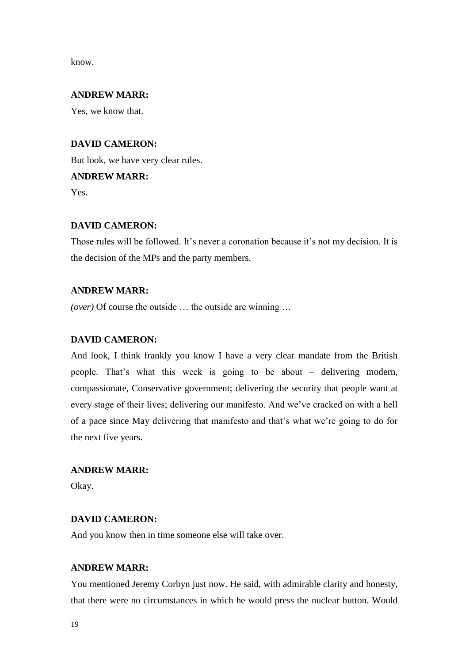know.

## **ANDREW MARR:**

Yes, we know that.

## **DAVID CAMERON:**

But look, we have very clear rules. **ANDREW MARR:** Yes.

## **DAVID CAMERON:**

Those rules will be followed. It's never a coronation because it's not my decision. It is the decision of the MPs and the party members.

## **ANDREW MARR:**

*(over)* Of course the outside … the outside are winning …

## **DAVID CAMERON:**

And look, I think frankly you know I have a very clear mandate from the British people. That's what this week is going to be about – delivering modern, compassionate, Conservative government; delivering the security that people want at every stage of their lives; delivering our manifesto. And we've cracked on with a hell of a pace since May delivering that manifesto and that's what we're going to do for the next five years.

## **ANDREW MARR:**

Okay.

## **DAVID CAMERON:**

And you know then in time someone else will take over.

## **ANDREW MARR:**

You mentioned Jeremy Corbyn just now. He said, with admirable clarity and honesty, that there were no circumstances in which he would press the nuclear button. Would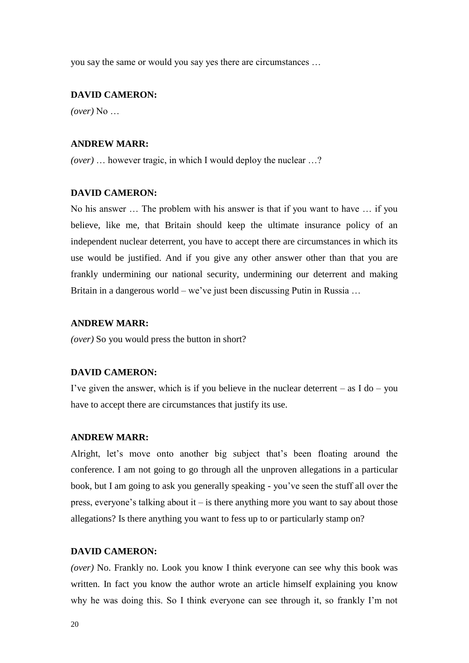you say the same or would you say yes there are circumstances …

#### **DAVID CAMERON:**

*(over)* No …

#### **ANDREW MARR:**

*(over)* … however tragic, in which I would deploy the nuclear …?

#### **DAVID CAMERON:**

No his answer … The problem with his answer is that if you want to have … if you believe, like me, that Britain should keep the ultimate insurance policy of an independent nuclear deterrent, you have to accept there are circumstances in which its use would be justified. And if you give any other answer other than that you are frankly undermining our national security, undermining our deterrent and making Britain in a dangerous world – we've just been discussing Putin in Russia ...

## **ANDREW MARR:**

*(over)* So you would press the button in short?

#### **DAVID CAMERON:**

I've given the answer, which is if you believe in the nuclear deterrent – as  $I$  do – you have to accept there are circumstances that justify its use.

#### **ANDREW MARR:**

Alright, let's move onto another big subject that's been floating around the conference. I am not going to go through all the unproven allegations in a particular book, but I am going to ask you generally speaking - you've seen the stuff all over the press, everyone's talking about it – is there anything more you want to say about those allegations? Is there anything you want to fess up to or particularly stamp on?

## **DAVID CAMERON:**

*(over)* No. Frankly no. Look you know I think everyone can see why this book was written. In fact you know the author wrote an article himself explaining you know why he was doing this. So I think everyone can see through it, so frankly I'm not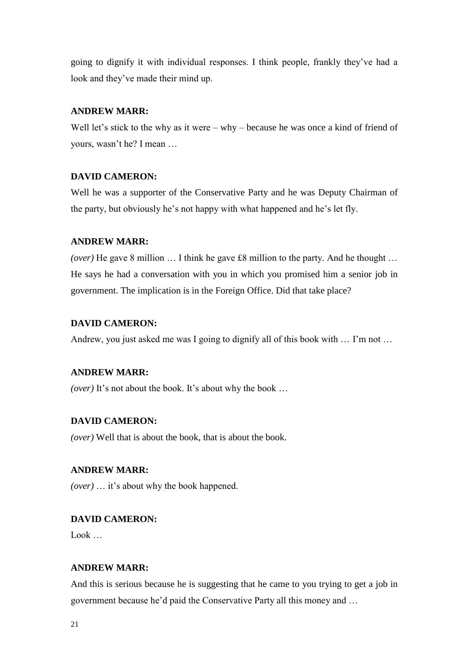going to dignify it with individual responses. I think people, frankly they've had a look and they've made their mind up.

## **ANDREW MARR:**

Well let's stick to the why as it were – why – because he was once a kind of friend of yours, wasn't he? I mean …

## **DAVID CAMERON:**

Well he was a supporter of the Conservative Party and he was Deputy Chairman of the party, but obviously he's not happy with what happened and he's let fly.

## **ANDREW MARR:**

*(over)* He gave 8 million … I think he gave £8 million to the party. And he thought … He says he had a conversation with you in which you promised him a senior job in government. The implication is in the Foreign Office. Did that take place?

## **DAVID CAMERON:**

Andrew, you just asked me was I going to dignify all of this book with … I'm not …

## **ANDREW MARR:**

*(over)* It's not about the book. It's about why the book ...

## **DAVID CAMERON:**

*(over)* Well that is about the book, that is about the book.

## **ANDREW MARR:**

*(over)* … it's about why the book happened.

## **DAVID CAMERON:**

Look …

## **ANDREW MARR:**

And this is serious because he is suggesting that he came to you trying to get a job in government because he'd paid the Conservative Party all this money and …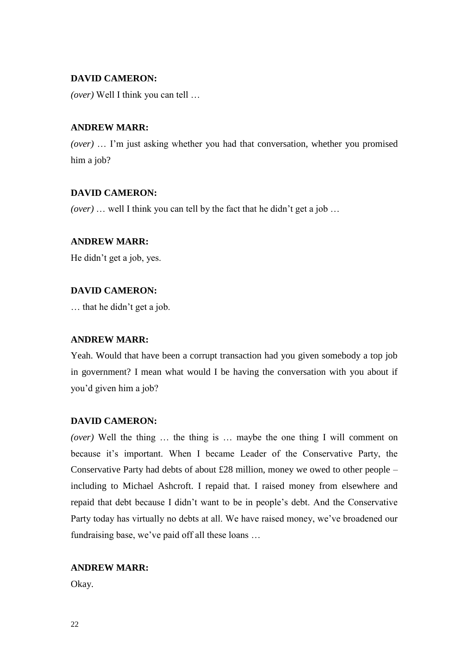*(over)* Well I think you can tell …

## **ANDREW MARR:**

*(over)* … I'm just asking whether you had that conversation, whether you promised him a job?

## **DAVID CAMERON:**

*(over)* … well I think you can tell by the fact that he didn't get a job …

## **ANDREW MARR:**

He didn't get a job, yes.

## **DAVID CAMERON:**

… that he didn't get a job.

## **ANDREW MARR:**

Yeah. Would that have been a corrupt transaction had you given somebody a top job in government? I mean what would I be having the conversation with you about if you'd given him a job?

## **DAVID CAMERON:**

*(over)* Well the thing … the thing is … maybe the one thing I will comment on because it's important. When I became Leader of the Conservative Party, the Conservative Party had debts of about £28 million, money we owed to other people – including to Michael Ashcroft. I repaid that. I raised money from elsewhere and repaid that debt because I didn't want to be in people's debt. And the Conservative Party today has virtually no debts at all. We have raised money, we've broadened our fundraising base, we've paid off all these loans …

## **ANDREW MARR:**

Okay.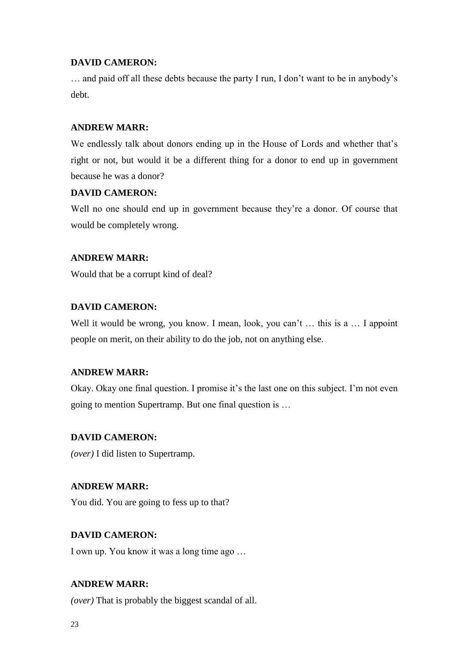… and paid off all these debts because the party I run, I don't want to be in anybody's debt.

## **ANDREW MARR:**

We endlessly talk about donors ending up in the House of Lords and whether that's right or not, but would it be a different thing for a donor to end up in government because he was a donor?

## **DAVID CAMERON:**

Well no one should end up in government because they're a donor. Of course that would be completely wrong.

## **ANDREW MARR:**

Would that be a corrupt kind of deal?

## **DAVID CAMERON:**

Well it would be wrong, you know. I mean, look, you can't ... this is a ... I appoint people on merit, on their ability to do the job, not on anything else.

## **ANDREW MARR:**

Okay. Okay one final question. I promise it's the last one on this subject. I'm not even going to mention Supertramp. But one final question is …

## **DAVID CAMERON:**

*(over)* I did listen to Supertramp.

## **ANDREW MARR:**

You did. You are going to fess up to that?

## **DAVID CAMERON:**

I own up. You know it was a long time ago …

## **ANDREW MARR:**

*(over)* That is probably the biggest scandal of all.

23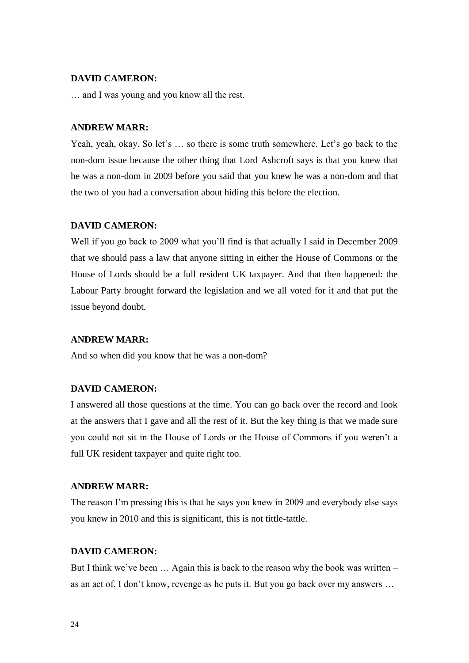… and I was young and you know all the rest.

#### **ANDREW MARR:**

Yeah, yeah, okay. So let's … so there is some truth somewhere. Let's go back to the non-dom issue because the other thing that Lord Ashcroft says is that you knew that he was a non-dom in 2009 before you said that you knew he was a non-dom and that the two of you had a conversation about hiding this before the election.

## **DAVID CAMERON:**

Well if you go back to 2009 what you'll find is that actually I said in December 2009 that we should pass a law that anyone sitting in either the House of Commons or the House of Lords should be a full resident UK taxpayer. And that then happened: the Labour Party brought forward the legislation and we all voted for it and that put the issue beyond doubt.

#### **ANDREW MARR:**

And so when did you know that he was a non-dom?

## **DAVID CAMERON:**

I answered all those questions at the time. You can go back over the record and look at the answers that I gave and all the rest of it. But the key thing is that we made sure you could not sit in the House of Lords or the House of Commons if you weren't a full UK resident taxpayer and quite right too.

## **ANDREW MARR:**

The reason I'm pressing this is that he says you knew in 2009 and everybody else says you knew in 2010 and this is significant, this is not tittle-tattle.

## **DAVID CAMERON:**

But I think we've been … Again this is back to the reason why the book was written – as an act of, I don't know, revenge as he puts it. But you go back over my answers …